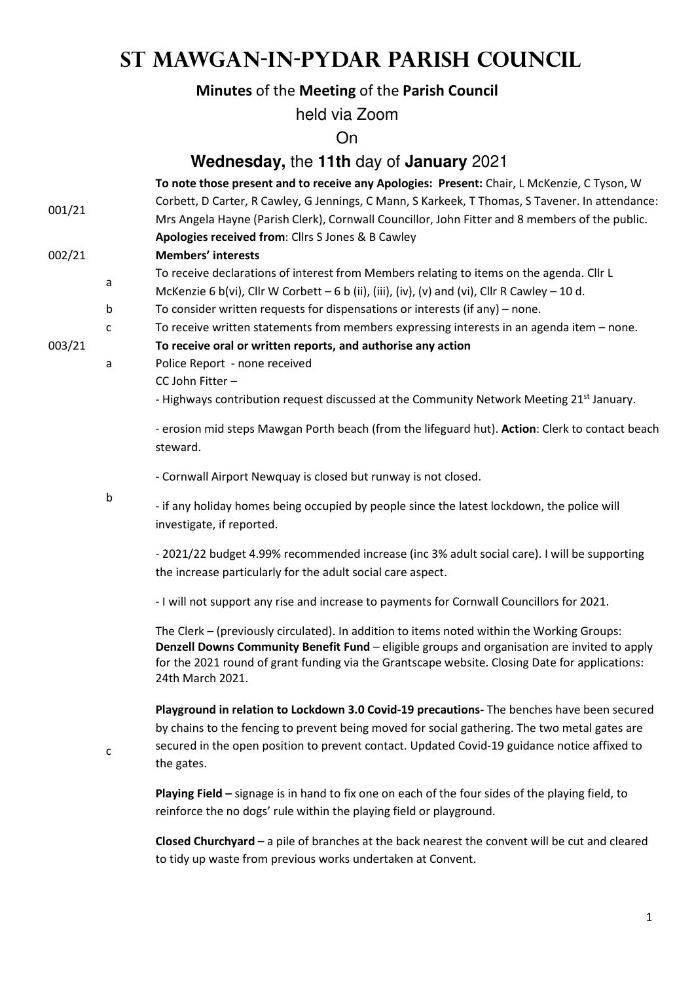# **St Mawgan-in-Pydar Parish Council**

## **Minutes** of the **Meeting** of the **Parish Council**

held via Zoom

On

### **Wednesday,** the **11th** day of **January** 2021

| 001/21 |   | To note those present and to receive any Apologies: Present: Chair, L McKenzie, C Tyson, W<br>Corbett, D Carter, R Cawley, G Jennings, C Mann, S Karkeek, T Thomas, S Tavener. In attendance:<br>Mrs Angela Hayne (Parish Clerk), Cornwall Councillor, John Fitter and 8 members of the public.<br>Apologies received from: Cllrs S Jones & B Cawley |
|--------|---|------------------------------------------------------------------------------------------------------------------------------------------------------------------------------------------------------------------------------------------------------------------------------------------------------------------------------------------------------|
| 002/21 |   | <b>Members' interests</b>                                                                                                                                                                                                                                                                                                                            |
|        | a | To receive declarations of interest from Members relating to items on the agenda. Cllr L<br>McKenzie 6 b(vi), Cllr W Corbett $-$ 6 b (ii), (iii), (iv), (v) and (vi), Cllr R Cawley $-$ 10 d.                                                                                                                                                        |
|        | b | To consider written requests for dispensations or interests (if any) $-$ none.                                                                                                                                                                                                                                                                       |
|        | C | To receive written statements from members expressing interests in an agenda item - none.                                                                                                                                                                                                                                                            |
| 003/21 |   | To receive oral or written reports, and authorise any action                                                                                                                                                                                                                                                                                         |
|        | a | Police Report - none received                                                                                                                                                                                                                                                                                                                        |
|        |   | CC John Fitter-                                                                                                                                                                                                                                                                                                                                      |
|        |   | - Highways contribution request discussed at the Community Network Meeting 21 <sup>st</sup> January.                                                                                                                                                                                                                                                 |
|        |   | - erosion mid steps Mawgan Porth beach (from the lifeguard hut). Action: Clerk to contact beach<br>steward.                                                                                                                                                                                                                                          |
|        |   | - Cornwall Airport Newquay is closed but runway is not closed.                                                                                                                                                                                                                                                                                       |
|        | b | - if any holiday homes being occupied by people since the latest lockdown, the police will<br>investigate, if reported.                                                                                                                                                                                                                              |
|        |   | - 2021/22 budget 4.99% recommended increase (inc 3% adult social care). I will be supporting<br>the increase particularly for the adult social care aspect.                                                                                                                                                                                          |
|        |   | - I will not support any rise and increase to payments for Cornwall Councillors for 2021.                                                                                                                                                                                                                                                            |
|        |   | The Clerk - (previously circulated). In addition to items noted within the Working Groups:<br>Denzell Downs Community Benefit Fund - eligible groups and organisation are invited to apply<br>for the 2021 round of grant funding via the Grantscape website. Closing Date for applications:<br>24th March 2021.                                     |
|        | с | Playground in relation to Lockdown 3.0 Covid-19 precautions- The benches have been secured<br>by chains to the fencing to prevent being moved for social gathering. The two metal gates are<br>secured in the open position to prevent contact. Updated Covid-19 guidance notice affixed to<br>the gates.                                            |
|        |   | Playing Field - signage is in hand to fix one on each of the four sides of the playing field, to<br>reinforce the no dogs' rule within the playing field or playground.                                                                                                                                                                              |

**Closed Churchyard** – a pile of branches at the back nearest the convent will be cut and cleared to tidy up waste from previous works undertaken at Convent.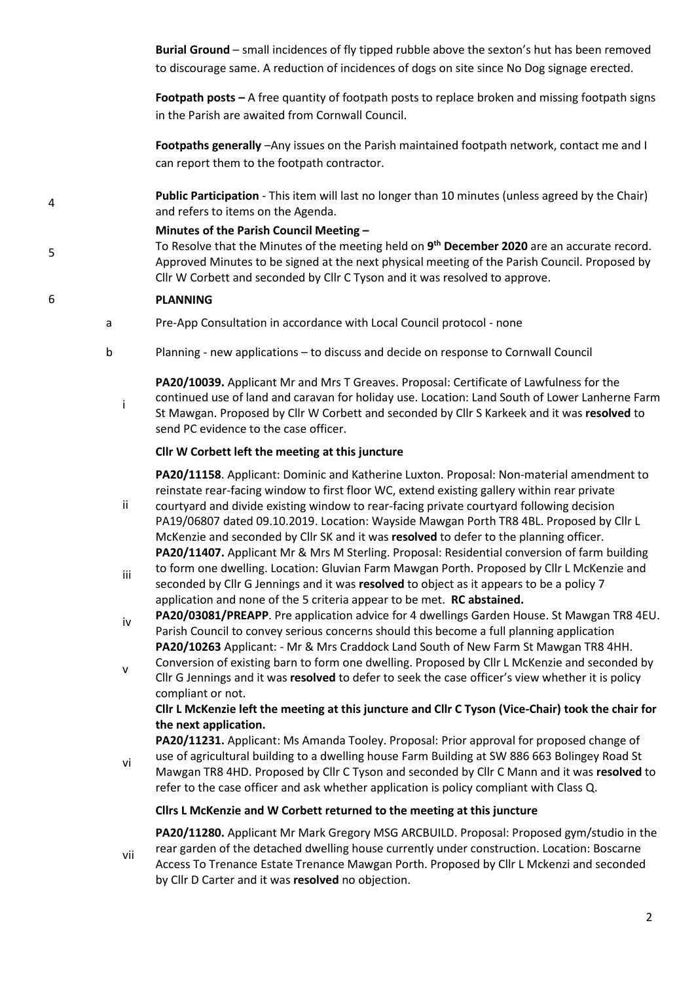**Burial Ground** – small incidences of fly tipped rubble above the sexton's hut has been removed to discourage same. A reduction of incidences of dogs on site since No Dog signage erected.

**Footpath posts –** A free quantity of footpath posts to replace broken and missing footpath signs in the Parish are awaited from Cornwall Council.

**Footpaths generally** –Any issues on the Parish maintained footpath network, contact me and I can report them to the footpath contractor.

<sup>4</sup>**Public Participation** - This item will last no longer than 10 minutes (unless agreed by the Chair) and refers to items on the Agenda.

#### **Minutes of the Parish Council Meeting –**

To Resolve that the Minutes of the meeting held on **9 th December 2020** are an accurate record. Approved Minutes to be signed at the next physical meeting of the Parish Council. Proposed by Cllr W Corbett and seconded by Cllr C Tyson and it was resolved to approve.

#### 6 **PLANNING**

vi

5

- a Pre-App Consultation in accordance with Local Council protocol none
- b Planning new applications to discuss and decide on response to Cornwall Council
	- i **PA20/10039.** Applicant Mr and Mrs T Greaves. Proposal: Certificate of Lawfulness for the continued use of land and caravan for holiday use. Location: Land South of Lower Lanherne Farm St Mawgan. Proposed by Cllr W Corbett and seconded by Cllr S Karkeek and it was **resolved** to send PC evidence to the case officer.

#### **Cllr W Corbett left the meeting at this juncture**

**PA20/11158**. Applicant: Dominic and Katherine Luxton. Proposal: Non-material amendment to reinstate rear-facing window to first floor WC, extend existing gallery within rear private

- ii courtyard and divide existing window to rear-facing private courtyard following decision PA19/06807 dated 09.10.2019. Location: Wayside Mawgan Porth TR8 4BL. Proposed by Cllr L McKenzie and seconded by Cllr SK and it was **resolved** to defer to the planning officer. **PA20/11407.** Applicant Mr & Mrs M Sterling. Proposal: Residential conversion of farm building
- iii to form one dwelling. Location: Gluvian Farm Mawgan Porth. Proposed by Cllr L McKenzie and seconded by Cllr G Jennings and it was **resolved** to object as it appears to be a policy 7 application and none of the 5 criteria appear to be met. **RC abstained.**
- iv **PA20/03081/PREAPP**. Pre application advice for 4 dwellings Garden House. St Mawgan TR8 4EU. Parish Council to convey serious concerns should this become a full planning application **PA20/10263** Applicant: - Mr & Mrs Craddock Land South of New Farm St Mawgan TR8 4HH.
- v Conversion of existing barn to form one dwelling. Proposed by Cllr L McKenzie and seconded by Cllr G Jennings and it was **resolved** to defer to seek the case officer's view whether it is policy compliant or not.

#### **Cllr L McKenzie left the meeting at this juncture and Cllr C Tyson (Vice-Chair) took the chair for the next application.**

**PA20/11231.** Applicant: Ms Amanda Tooley. Proposal: Prior approval for proposed change of use of agricultural building to a dwelling house Farm Building at SW 886 663 Bolingey Road St Mawgan TR8 4HD. Proposed by Cllr C Tyson and seconded by Cllr C Mann and it was **resolved** to

refer to the case officer and ask whether application is policy compliant with Class Q.

#### **Cllrs L McKenzie and W Corbett returned to the meeting at this juncture**

vii **PA20/11280.** Applicant Mr Mark Gregory MSG ARCBUILD. Proposal: Proposed gym/studio in the rear garden of the detached dwelling house currently under construction. Location: Boscarne Access To Trenance Estate Trenance Mawgan Porth. Proposed by Cllr L Mckenzi and seconded

by Cllr D Carter and it was **resolved** no objection.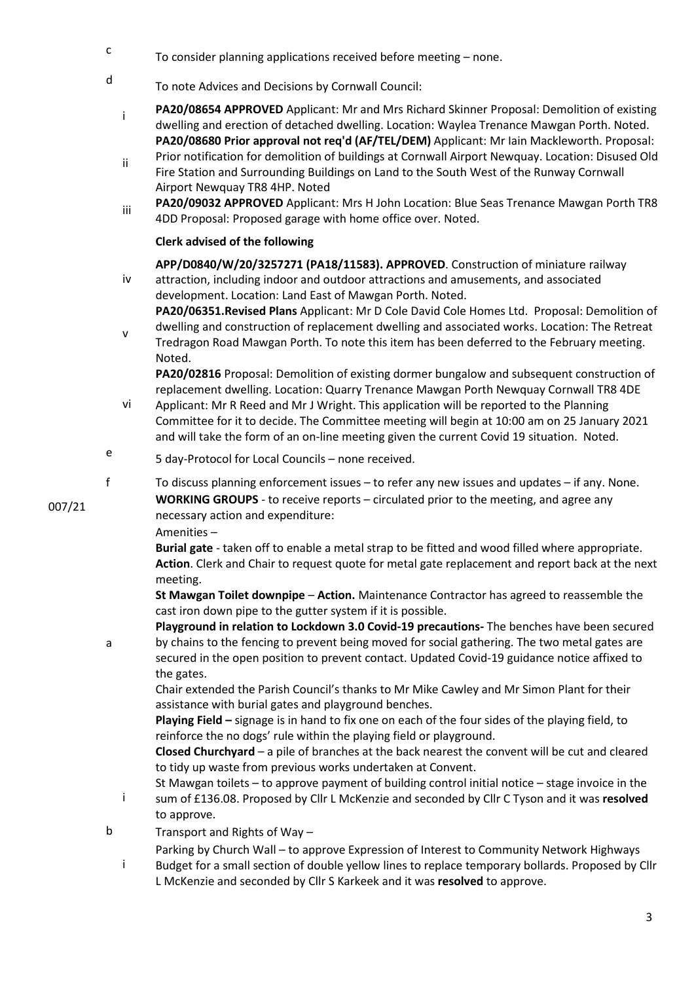- c To consider planning applications received before meeting – none.
- d To note Advices and Decisions by Cornwall Council:
	- **PA20/08654 APPROVED** Applicant: Mr and Mrs Richard Skinner Proposal: Demolition of existing dwelling and erection of detached dwelling. Location: Waylea Trenance Mawgan Porth. Noted. **PA20/08680 Prior approval not req'd (AF/TEL/DEM)** Applicant: Mr Iain Mackleworth. Proposal:
	- ii Prior notification for demolition of buildings at Cornwall Airport Newquay. Location: Disused Old Fire Station and Surrounding Buildings on Land to the South West of the Runway Cornwall Airport Newquay TR8 4HP. Noted
	- **PA20/09032 APPROVED** Applicant: Mrs H John Location: Blue Seas Trenance Mawgan Porth TR8 4DD Proposal: Proposed garage with home office over. Noted.

#### **Clerk advised of the following**

**APP/D0840/W/20/3257271 (PA18/11583). APPROVED**. Construction of miniature railway

- iv attraction, including indoor and outdoor attractions and amusements, and associated development. Location: Land East of Mawgan Porth. Noted. **PA20/06351.Revised Plans** Applicant: Mr D Cole David Cole Homes Ltd. Proposal: Demolition of
- v dwelling and construction of replacement dwelling and associated works. Location: The Retreat Tredragon Road Mawgan Porth. To note this item has been deferred to the February meeting. Noted.

**PA20/02816** Proposal: Demolition of existing dormer bungalow and subsequent construction of replacement dwelling. Location: Quarry Trenance Mawgan Porth Newquay Cornwall TR8 4DE

- vi Applicant: Mr R Reed and Mr J Wright. This application will be reported to the Planning Committee for it to decide. The Committee meeting will begin at 10:00 am on 25 January 2021 and will take the form of an on-line meeting given the current Covid 19 situation. Noted.
- e 5 day-Protocol for Local Councils – none received.
- f To discuss planning enforcement issues to refer any new issues and updates if any. None.

**WORKING GROUPS** - to receive reports – circulated prior to the meeting, and agree any necessary action and expenditure:

Amenities –

a

**Burial gate** - taken off to enable a metal strap to be fitted and wood filled where appropriate. **Action**. Clerk and Chair to request quote for metal gate replacement and report back at the next meeting.

**St Mawgan Toilet downpipe** – **Action.** Maintenance Contractor has agreed to reassemble the cast iron down pipe to the gutter system if it is possible.

**Playground in relation to Lockdown 3.0 Covid-19 precautions-** The benches have been secured by chains to the fencing to prevent being moved for social gathering. The two metal gates are secured in the open position to prevent contact. Updated Covid-19 guidance notice affixed to the gates.

Chair extended the Parish Council's thanks to Mr Mike Cawley and Mr Simon Plant for their assistance with burial gates and playground benches.

**Playing Field –** signage is in hand to fix one on each of the four sides of the playing field, to reinforce the no dogs' rule within the playing field or playground.

**Closed Churchyard** – a pile of branches at the back nearest the convent will be cut and cleared to tidy up waste from previous works undertaken at Convent.

i St Mawgan toilets – to approve payment of building control initial notice – stage invoice in the sum of £136.08. Proposed by Cllr L McKenzie and seconded by Cllr C Tyson and it was **resolved** to approve.

b Transport and Rights of Way –

Parking by Church Wall – to approve Expression of Interest to Community Network Highways

in a control i Budget for a small section of double yellow lines to replace temporary bollards. Proposed by Cllr L McKenzie and seconded by Cllr S Karkeek and it was **resolved** to approve.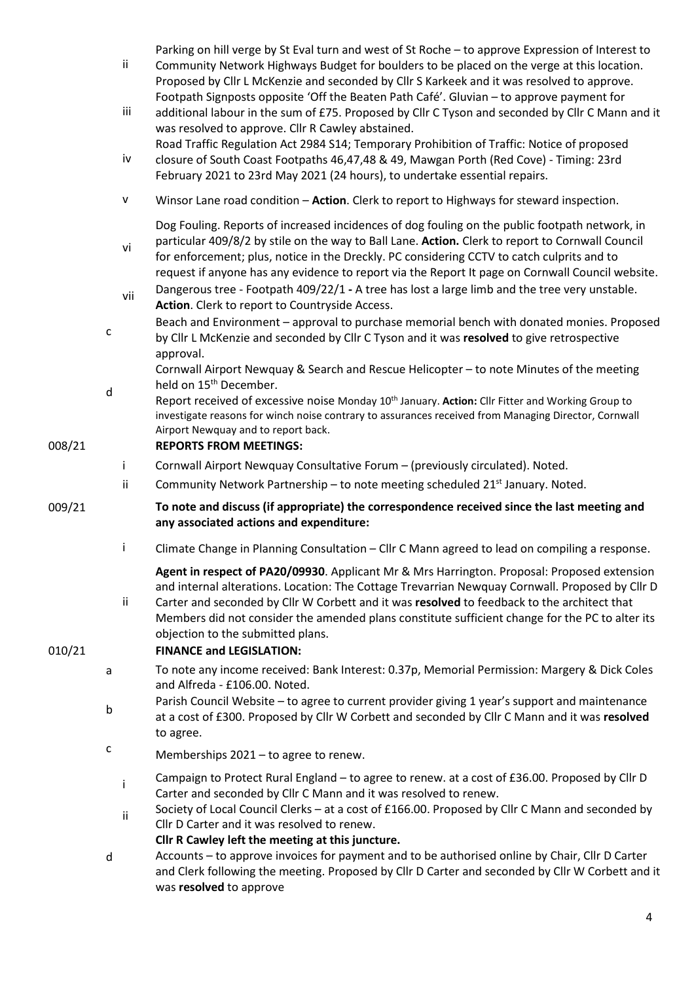Parking on hill verge by St Eval turn and west of St Roche – to approve Expression of Interest to

- ii Community Network Highways Budget for boulders to be placed on the verge at this location. Proposed by Cllr L McKenzie and seconded by Cllr S Karkeek and it was resolved to approve. Footpath Signposts opposite 'Off the Beaten Path Café'. Gluvian – to approve payment for
- iii additional labour in the sum of £75. Proposed by Cllr C Tyson and seconded by Cllr C Mann and it was resolved to approve. Cllr R Cawley abstained.
- iv Road Traffic Regulation Act 2984 S14; Temporary Prohibition of Traffic: Notice of proposed closure of South Coast Footpaths 46,47,48 & 49, Mawgan Porth (Red Cove) - Timing: 23rd February 2021 to 23rd May 2021 (24 hours), to undertake essential repairs.
- v Winsor Lane road condition **Action**. Clerk to report to Highways for steward inspection.

Dog Fouling. Reports of increased incidences of dog fouling on the public footpath network, in particular 409/8/2 by stile on the way to Ball Lane. **Action.** Clerk to report to Cornwall Council

- for enforcement; plus, notice in the Dreckly. PC considering CCTV to catch culprits and to request if anyone has any evidence to report via the Report It page on Cornwall Council website.
- vii Dangerous tree Footpath 409/22/1A tree has lost a large limb and the tree very unstable. **Action**. Clerk to report to Countryside Access.
- c Beach and Environment – approval to purchase memorial bench with donated monies. Proposed by Cllr L McKenzie and seconded by Cllr C Tyson and it was **resolved** to give retrospective approval.

Cornwall Airport Newquay & Search and Rescue Helicopter – to note Minutes of the meeting held on 15<sup>th</sup> December.

d Report received of excessive noise Monday 10th January. **Action:** Cllr Fitter and Working Group to investigate reasons for winch noise contrary to assurances received from Managing Director, Cornwall Airport Newquay and to report back.

#### 008/21 **REPORTS FROM MEETINGS:**

vi

009/21

- i Cornwall Airport Newquay Consultative Forum (previously circulated). Noted.
- ii Community Network Partnership to note meeting scheduled  $21^{st}$  January. Noted.
- **To note and discuss (if appropriate) the correspondence received since the last meeting and any associated actions and expenditure:**
- i Climate Change in Planning Consultation Cllr C Mann agreed to lead on compiling a response.

**Agent in respect of PA20/09930**. Applicant Mr & Mrs Harrington. Proposal: Proposed extension and internal alterations. Location: The Cottage Trevarrian Newquay Cornwall. Proposed by Cllr D

ii Carter and seconded by Cllr W Corbett and it was **resolved** to feedback to the architect that Members did not consider the amended plans constitute sufficient change for the PC to alter its objection to the submitted plans.

#### 010/21 **FINANCE and LEGISLATION:**

- a To note any income received: Bank Interest: 0.37p, Memorial Permission: Margery & Dick Coles and Alfreda - £106.00. Noted.
- b Parish Council Website – to agree to current provider giving 1 year's support and maintenance at a cost of £300. Proposed by Cllr W Corbett and seconded by Cllr C Mann and it was **resolved**  to agree.
- <sup>c</sup> Memberships 2021 to agree to renew.
	- <sup>i</sup>Campaign to Protect Rural England to agree to renew. at a cost of £36.00. Proposed by Cllr <sup>D</sup> Carter and seconded by Cllr C Mann and it was resolved to renew.
	- ii Society of Local Council Clerks at a cost of £166.00. Proposed by Cllr C Mann and seconded by Cllr D Carter and it was resolved to renew.
		- **Cllr R Cawley left the meeting at this juncture.**
- d Accounts – to approve invoices for payment and to be authorised online by Chair, Cllr D Carter and Clerk following the meeting. Proposed by Cllr D Carter and seconded by Cllr W Corbett and it was **resolved** to approve